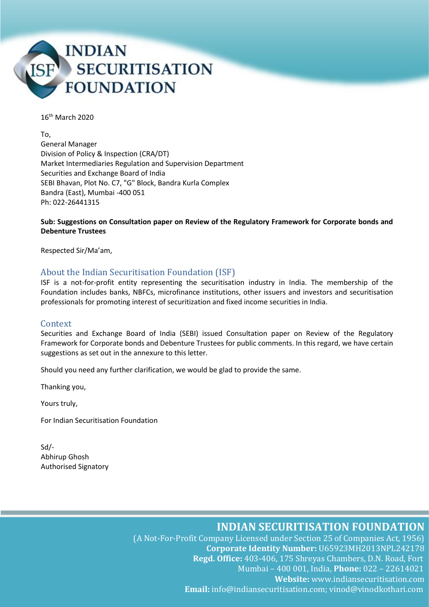

16th March 2020

To, General Manager Division of Policy & Inspection (CRA/DT) Market Intermediaries Regulation and Supervision Department Securities and Exchange Board of India SEBI Bhavan, Plot No. C7, "G" Block, Bandra Kurla Complex Bandra (East), Mumbai -400 051 Ph: 022-26441315

#### **Sub: Suggestions on Consultation paper on Review of the Regulatory Framework for Corporate bonds and Debenture Trustees**

Respected Sir/Ma'am,

#### About the Indian Securitisation Foundation (ISF)

ISF is a not-for-profit entity representing the securitisation industry in India. The membership of the Foundation includes banks, NBFCs, microfinance institutions, other issuers and investors and securitisation professionals for promoting interest of securitization and fixed income securities in India.

#### Context

Securities and Exchange Board of India (SEBI) issued Consultation paper on Review of the Regulatory Framework for Corporate bonds and Debenture Trustees for public comments. In this regard, we have certain suggestions as set out in the annexure to this letter.

Should you need any further clarification, we would be glad to provide the same.

Thanking you,

Yours truly,

For Indian Securitisation Foundation

Sd/- Abhirup Ghosh Authorised Signatory

**INDIAN SECURITISATION FOUNDATION**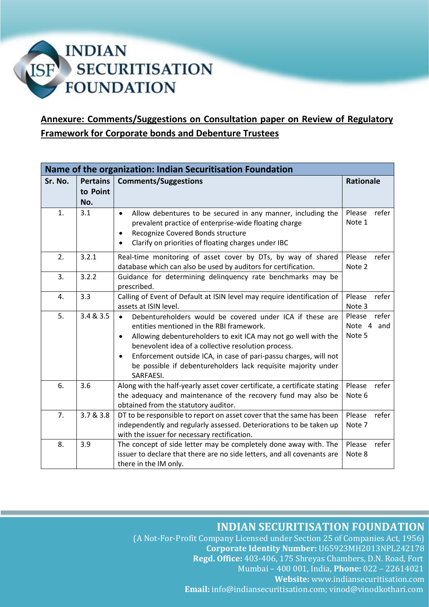# **INDIAN SECURITISATION ISF FOUNDATION**

# **Annexure: Comments/Suggestions on Consultation paper on Review of Regulatory Framework for Corporate bonds and Debenture Trustees**

| Name of the organization: Indian Securitisation Foundation |                 |                                                                                                                                                                                                                                                                                                                                                                                                                |                                         |
|------------------------------------------------------------|-----------------|----------------------------------------------------------------------------------------------------------------------------------------------------------------------------------------------------------------------------------------------------------------------------------------------------------------------------------------------------------------------------------------------------------------|-----------------------------------------|
| Sr. No.                                                    | <b>Pertains</b> | <b>Comments/Suggestions</b>                                                                                                                                                                                                                                                                                                                                                                                    | <b>Rationale</b>                        |
|                                                            | to Point        |                                                                                                                                                                                                                                                                                                                                                                                                                |                                         |
|                                                            | No.             |                                                                                                                                                                                                                                                                                                                                                                                                                |                                         |
| 1.                                                         | 3.1             | Allow debentures to be secured in any manner, including the<br>$\bullet$<br>prevalent practice of enterprise-wide floating charge<br>Recognize Covered Bonds structure<br>Clarify on priorities of floating charges under IBC                                                                                                                                                                                  | refer<br>Please<br>Note 1               |
| 2.                                                         | 3.2.1           | Real-time monitoring of asset cover by DTs, by way of shared<br>database which can also be used by auditors for certification.                                                                                                                                                                                                                                                                                 | Please<br>refer<br>Note 2               |
| 3.                                                         | 3.2.2           | Guidance for determining delinquency rate benchmarks may be<br>prescribed.                                                                                                                                                                                                                                                                                                                                     |                                         |
| 4.                                                         | 3.3             | Calling of Event of Default at ISIN level may require identification of<br>assets at ISIN level.                                                                                                                                                                                                                                                                                                               | Please<br>refer<br>Note 3               |
| 5.                                                         | 3.4 & 3.5       | Debentureholders would be covered under ICA if these are<br>$\bullet$<br>entities mentioned in the RBI framework.<br>Allowing debentureholders to exit ICA may not go well with the<br>٠<br>benevolent idea of a collective resolution process.<br>Enforcement outside ICA, in case of pari-passu charges, will not<br>$\bullet$<br>be possible if debentureholders lack requisite majority under<br>SARFAESI. | Please<br>refer<br>Note 4 and<br>Note 5 |
| 6.                                                         | 3.6             | Along with the half-yearly asset cover certificate, a certificate stating<br>the adequacy and maintenance of the recovery fund may also be<br>obtained from the statutory auditor.                                                                                                                                                                                                                             | Please<br>refer<br>Note 6               |
| 7.                                                         | 3.7 & 3.8       | DT to be responsible to report on asset cover that the same has been<br>independently and regularly assessed. Deteriorations to be taken up<br>with the issuer for necessary rectification.                                                                                                                                                                                                                    | Please<br>refer<br>Note 7               |
| 8.                                                         | 3.9             | The concept of side letter may be completely done away with. The<br>issuer to declare that there are no side letters, and all covenants are<br>there in the IM only.                                                                                                                                                                                                                                           | Please<br>refer<br>Note 8               |

**INDIAN SECURITISATION FOUNDATION**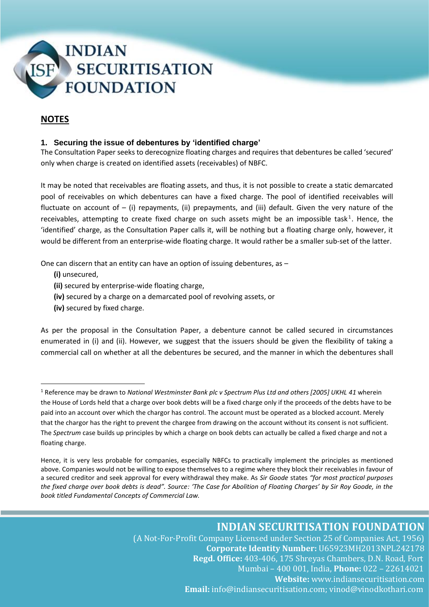

### **NOTES**

#### **1. Securing the issue of debentures by 'identified charge'**

The Consultation Paper seeks to derecognize floating charges and requires that debentures be called 'secured' only when charge is created on identified assets (receivables) of NBFC.

It may be noted that receivables are floating assets, and thus, it is not possible to create a static demarcated pool of receivables on which debentures can have a fixed charge. The pool of identified receivables will fluctuate on account of – (i) repayments, (ii) prepayments, and (iii) default. Given the very nature of the receivables, attempting to create fixed charge on such assets might be an impossible task<sup>1</sup>. Hence, the 'identified' charge, as the Consultation Paper calls it, will be nothing but a floating charge only, however, it would be different from an enterprise-wide floating charge. It would rather be a smaller sub-set of the latter.

One can discern that an entity can have an option of issuing debentures, as –

- **(i)** unsecured,
- **(ii)** secured by enterprise-wide floating charge,
- **(iv)** secured by a charge on a demarcated pool of revolving assets, or
- **(iv)** secured by fixed charge.

As per the proposal in the Consultation Paper, a debenture cannot be called secured in circumstances enumerated in (i) and (ii). However, we suggest that the issuers should be given the flexibility of taking a commercial call on whether at all the debentures be secured, and the manner in which the debentures shall

<sup>1</sup> Reference may be drawn to *National Westminster Bank plc v Spectrum Plus Ltd and others [2005] UKHL 41* wherein the House of Lords held that a charge over book debts will be a fixed charge only if the proceeds of the debts have to be paid into an account over which the chargor has control. The account must be operated as a blocked account. Merely that the chargor has the right to prevent the chargee from drawing on the account without its consent is not sufficient. The *Spectrum* case builds up principles by which a charge on book debts can actually be called a fixed charge and not a floating charge.

Hence, it is very less probable for companies, especially NBFCs to practically implement the principles as mentioned above. Companies would not be willing to expose themselves to a regime where they block their receivables in favour of a secured creditor and seek approval for every withdrawal they make. As *Sir Goode* states *"for most practical purposes the fixed charge over book debts is dead". Source: 'The Case for Abolition of Floating Charges' by Sir Roy Goode, in the book titled Fundamental Concepts of Commercial Law.*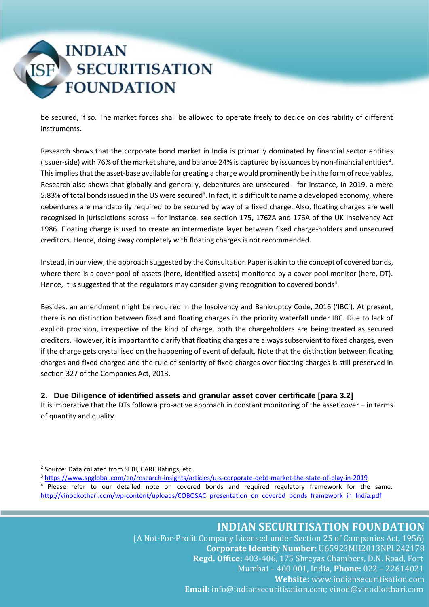

be secured, if so. The market forces shall be allowed to operate freely to decide on desirability of different instruments.

Research shows that the corporate bond market in India is primarily dominated by financial sector entities (issuer-side) with 76% of the market share, and balance 24% is captured by issuances by non-financial entities<sup>2</sup>. This implies that the asset-base available for creating a charge would prominently be in the form of receivables. Research also shows that globally and generally, debentures are unsecured - for instance, in 2019, a mere 5.83% of total bonds issued in the US were secured<sup>3</sup>. In fact, it is difficult to name a developed economy, where debentures are mandatorily required to be secured by way of a fixed charge. Also, floating charges are well recognised in jurisdictions across – for instance, see section 175, 176ZA and 176A of the UK Insolvency Act 1986. Floating charge is used to create an intermediate layer between fixed charge-holders and unsecured creditors. Hence, doing away completely with floating charges is not recommended.

Instead, in our view, the approach suggested by the Consultation Paper is akin to the concept of covered bonds, where there is a cover pool of assets (here, identified assets) monitored by a cover pool monitor (here, DT). Hence, it is suggested that the regulators may consider giving recognition to covered bonds<sup>4</sup>.

Besides, an amendment might be required in the Insolvency and Bankruptcy Code, 2016 ('IBC'). At present, there is no distinction between fixed and floating charges in the priority waterfall under IBC. Due to lack of explicit provision, irrespective of the kind of charge, both the chargeholders are being treated as secured creditors. However, it is important to clarify that floating charges are always subservient to fixed charges, even if the charge gets crystallised on the happening of event of default. Note that the distinction between floating charges and fixed charged and the rule of seniority of fixed charges over floating charges is still preserved in section 327 of the Companies Act, 2013.

#### **2. Due Diligence of identified assets and granular asset cover certificate [para 3.2]**

It is imperative that the DTs follow a pro-active approach in constant monitoring of the asset cover – in terms of quantity and quality.

<sup>3</sup> <https://www.spglobal.com/en/research-insights/articles/u-s-corporate-debt-market-the-state-of-play-in-2019>

<sup>&</sup>lt;sup>2</sup> Source: Data collated from SEBI, CARE Ratings, etc.

<sup>4</sup> Please refer to our detailed note on covered bonds and required regulatory framework for the same: [http://vinodkothari.com/wp-content/uploads/COBOSAC\\_presentation\\_on\\_covered\\_bonds\\_framework\\_in\\_India.pdf](http://vinodkothari.com/wp-content/uploads/COBOSAC_presentation_on_covered_bonds_framework_in_India.pdf)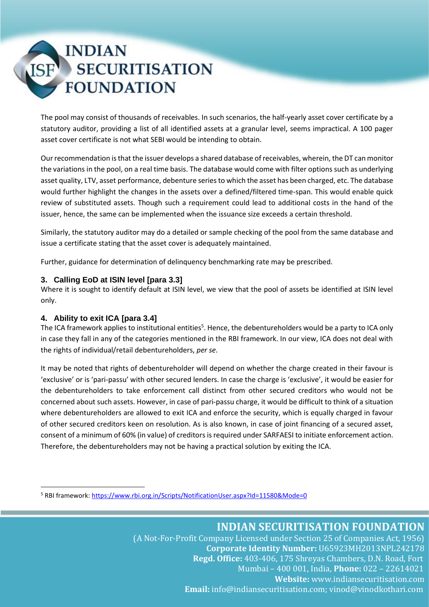# **INDIAN SECURITISATION FOUNDATION**

The pool may consist of thousands of receivables. In such scenarios, the half-yearly asset cover certificate by a statutory auditor, providing a list of all identified assets at a granular level, seems impractical. A 100 pager asset cover certificate is not what SEBI would be intending to obtain.

Our recommendation isthat the issuer develops a shared database of receivables, wherein, the DT can monitor the variations in the pool, on a real time basis. The database would come with filter options such as underlying asset quality, LTV, asset performance, debenture series to which the asset has been charged, etc. The database would further highlight the changes in the assets over a defined/filtered time-span. This would enable quick review of substituted assets. Though such a requirement could lead to additional costs in the hand of the issuer, hence, the same can be implemented when the issuance size exceeds a certain threshold.

Similarly, the statutory auditor may do a detailed or sample checking of the pool from the same database and issue a certificate stating that the asset cover is adequately maintained.

Further, guidance for determination of delinquency benchmarking rate may be prescribed.

#### **3. Calling EoD at ISIN level [para 3.3]**

Where it is sought to identify default at ISIN level, we view that the pool of assets be identified at ISIN level only.

#### **4. Ability to exit ICA [para 3.4]**

The ICA framework applies to institutional entities<sup>5</sup>. Hence, the debentureholders would be a party to ICA only in case they fall in any of the categories mentioned in the RBI framework. In our view, ICA does not deal with the rights of individual/retail debentureholders, *per se*.

It may be noted that rights of debentureholder will depend on whether the charge created in their favour is 'exclusive' or is 'pari-passu' with other secured lenders. In case the charge is 'exclusive', it would be easier for the debentureholders to take enforcement call distinct from other secured creditors who would not be concerned about such assets. However, in case of pari-passu charge, it would be difficult to think of a situation where debentureholders are allowed to exit ICA and enforce the security, which is equally charged in favour of other secured creditors keen on resolution. As is also known, in case of joint financing of a secured asset, consent of a minimum of 60% (in value) of creditors is required under SARFAESI to initiate enforcement action. Therefore, the debentureholders may not be having a practical solution by exiting the ICA.

<sup>5</sup> RBI framework[: https://www.rbi.org.in/Scripts/NotificationUser.aspx?Id=11580&Mode=0](https://www.rbi.org.in/Scripts/NotificationUser.aspx?Id=11580&Mode=0)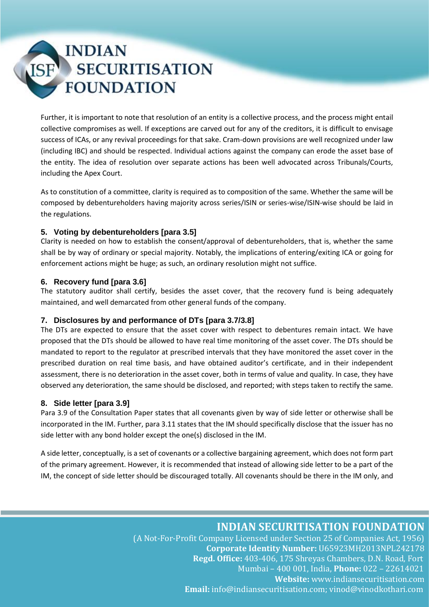# **INDIAN SECURITISATION FOUNDATION**

Further, it is important to note that resolution of an entity is a collective process, and the process might entail collective compromises as well. If exceptions are carved out for any of the creditors, it is difficult to envisage success of ICAs, or any revival proceedings for that sake. Cram-down provisions are well recognized under law (including IBC) and should be respected. Individual actions against the company can erode the asset base of the entity. The idea of resolution over separate actions has been well advocated across Tribunals/Courts, including the Apex Court.

As to constitution of a committee, clarity is required as to composition of the same. Whether the same will be composed by debentureholders having majority across series/ISIN or series-wise/ISIN-wise should be laid in the regulations.

#### **5. Voting by debentureholders [para 3.5]**

Clarity is needed on how to establish the consent/approval of debentureholders, that is, whether the same shall be by way of ordinary or special majority. Notably, the implications of entering/exiting ICA or going for enforcement actions might be huge; as such, an ordinary resolution might not suffice.

#### **6. Recovery fund [para 3.6]**

The statutory auditor shall certify, besides the asset cover, that the recovery fund is being adequately maintained, and well demarcated from other general funds of the company.

#### **7. Disclosures by and performance of DTs [para 3.7/3.8]**

The DTs are expected to ensure that the asset cover with respect to debentures remain intact. We have proposed that the DTs should be allowed to have real time monitoring of the asset cover. The DTs should be mandated to report to the regulator at prescribed intervals that they have monitored the asset cover in the prescribed duration on real time basis, and have obtained auditor's certificate, and in their independent assessment, there is no deterioration in the asset cover, both in terms of value and quality. In case, they have observed any deterioration, the same should be disclosed, and reported; with steps taken to rectify the same.

#### **8. Side letter [para 3.9]**

Para 3.9 of the Consultation Paper states that all covenants given by way of side letter or otherwise shall be incorporated in the IM. Further, para 3.11 states that the IM should specifically disclose that the issuer has no side letter with any bond holder except the one(s) disclosed in the IM.

A side letter, conceptually, is a set of covenants or a collective bargaining agreement, which does not form part of the primary agreement. However, it is recommended that instead of allowing side letter to be a part of the IM, the concept of side letter should be discouraged totally. All covenants should be there in the IM only, and

### **INDIAN SECURITISATION FOUNDATION**